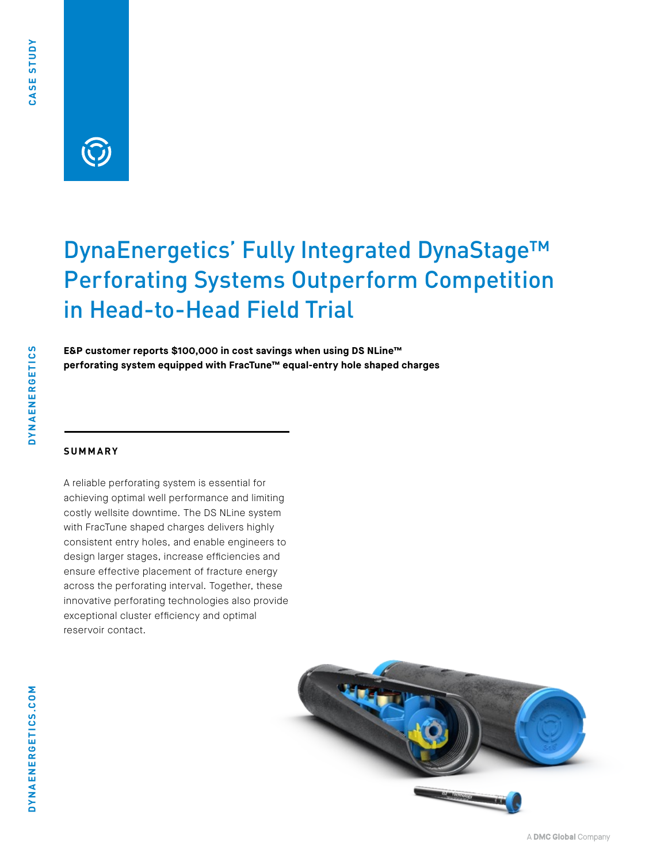**DYNAENERGETICS** 

## DynaEnergetics' Fully Integrated DynaStage™ Perforating Systems Outperform Competition in Head-to-Head Field Trial

**E&P customer reports \$100,000 in cost savings when using DS NLine™ perforating system equipped with FracTune™ equal-entry hole shaped charges**

#### **SUMMARY**

A reliable perforating system is essential for achieving optimal well performance and limiting costly wellsite downtime. The DS NLine system with FracTune shaped charges delivers highly consistent entry holes, and enable engineers to design larger stages, increase efficiencies and ensure effective placement of fracture energy across the perforating interval. Together, these innovative perforating technologies also provide exceptional cluster efficiency and optimal reservoir contact.